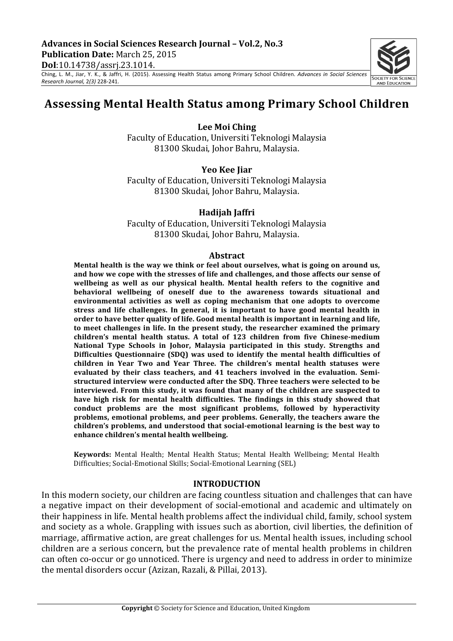*Research Journal,* 2(3) 228-241.

Ching,' L.'M.,' Jiar,' Y.' K.,'&' Jaffri, H.' (2015).' Assessing' Health' Status' among' Primary' School' Children.'*Advances) in) Social) Sciences)*

# **Assessing'Mental'Health'Status'among'Primary'School'Children'**

Lee Moi Ching

Faculty of Education, Universiti Teknologi Malaysia 81300 Skudai, Johor Bahru, Malaysia.

**Yeo Kee Jiar** Faculty of Education, Universiti Teknologi Malaysia 81300 Skudai, Johor Bahru, Malaysia.

#### **Hadijah Jaffri**

Faculty of Education, Universiti Teknologi Malaysia 81300 Skudai, Johor Bahru, Malaysia.

#### **Abstract**

Mental health is the way we think or feel about ourselves, what is going on around us, and how we cope with the stresses of life and challenges, and those affects our sense of wellbeing as well as our physical health. Mental health refers to the cognitive and **behavioral) wellbeing) of) oneself) due) to) the) awareness) towards) situational) and) environmental) activities) as) well) as) coping) mechanism) that) one) adopts) to) overcome)** stress and life challenges. In general, it is important to have good mental health in order to have better quality of life. Good mental health is important in learning and life, to meet challenges in life. In the present study, the researcher examined the primary children's mental health status. A total of 123 children from five Chinese-medium National Type Schools in Johor, Malaysia participated in this study. Strengths and Difficulties Questionnaire (SDQ) was used to identify the mental health difficulties of children in Year Two and Year Three. The children's mental health statuses were evaluated by their class teachers, and 41 teachers involved in the evaluation. Semistructured interview were conducted after the SDQ. Three teachers were selected to be interviewed. From this study, it was found that many of the children are suspected to have high risk for mental health difficulties. The findings in this study showed that **conduct) problems) are) the) most) significant) problems,) followed) by) hyperactivity)** problems, emotional problems, and peer problems. Generally, the teachers aware the children's problems, and understood that social-emotional learning is the best way to enhance children's mental health wellbeing.

Keywords: Mental Health; Mental Health Status; Mental Health Wellbeing; Mental Health Difficulties; Social-Emotional Skills; Social-Emotional Learning (SEL)

#### **INTRODUCTION**

In this modern society, our children are facing countless situation and challenges that can have a negative impact on their development of social-emotional and academic and ultimately on their happiness in life. Mental health problems affect the individual child, family, school system and society as a whole. Grappling with issues such as abortion, civil liberties, the definition of marriage, affirmative action, are great challenges for us. Mental health issues, including school children are a serious concern, but the prevalence rate of mental health problems in children can often co-occur or go unnoticed. There is urgency and need to address in order to minimize the mental disorders occur (Azizan, Razali, & Pillai, 2013).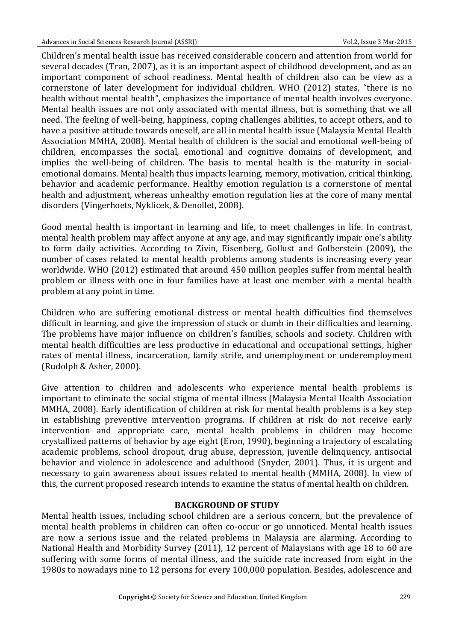Children's mental health issue has received considerable concern and attention from world for several decades (Tran, 2007), as it is an important aspect of childhood development, and as an important component of school readiness. Mental health of children also can be view as a cornerstone of later development for individual children. WHO (2012) states, "there is no health without mental health", emphasizes the importance of mental health involves everyone. Mental health issues are not only associated with mental illness, but is something that we all need. The feeling of well-being, happiness, coping challenges abilities, to accept others, and to have a positive attitude towards oneself, are all in mental health issue (Malaysia Mental Health Association MMHA, 2008). Mental health of children is the social and emotional well-being of children, encompasses the social, emotional and cognitive domains of development, and implies the well-being of children. The basis to mental health is the maturity in socialemotional domains. Mental health thus impacts learning, memory, motivation, critical thinking, behavior and academic performance. Healthy emotion regulation is a cornerstone of mental health and adjustment, whereas unhealthy emotion regulation lies at the core of many mental disorders (Vingerhoets, Nyklicek, & Denollet, 2008).

Good mental health is important in learning and life, to meet challenges in life. In contrast, mental health problem may affect anyone at any age, and may significantly impair one's ability to form daily activities. According to Zivin, Eisenberg, Gollust and Golberstein (2009), the number of cases related to mental health problems among students is increasing every year worldwide. WHO (2012) estimated that around 450 million peoples suffer from mental health problem or illness with one in four families have at least one member with a mental health problem at any point in time.

Children who are suffering emotional distress or mental health difficulties find themselves difficult in learning, and give the impression of stuck or dumb in their difficulties and learning. The problems have major influence on children's families, schools and society. Children with mental health difficulties are less productive in educational and occupational settings, higher rates of mental illness, incarceration, family strife, and unemployment or underemployment (Rudolph & Asher, 2000).

Give attention to children and adolescents who experience mental health problems is important to eliminate the social stigma of mental illness (Malaysia Mental Health Association MMHA, 2008). Early identification of children at risk for mental health problems is a key step in establishing preventive intervention programs. If children at risk do not receive early intervention and appropriate care, mental health problems in children may become crystallized patterns of behavior by age eight (Eron, 1990), beginning a trajectory of escalating academic problems, school dropout, drug abuse, depression, juvenile delinquency, antisocial behavior and violence in adolescence and adulthood (Snyder, 2001). Thus, it is urgent and necessary to gain awareness about issues related to mental health (MMHA, 2008). In view of this, the current proposed research intends to examine the status of mental health on children.

### **BACKGROUND OF STUDY**

Mental health issues, including school children are a serious concern, but the prevalence of mental health problems in children can often co-occur or go unnoticed. Mental health issues are now a serious issue and the related problems in Malaysia are alarming. According to National Health and Morbidity Survey (2011), 12 percent of Malaysians with age 18 to 60 are suffering with some forms of mental illness, and the suicide rate increased from eight in the 1980s to nowadays nine to 12 persons for every 100,000 population. Besides, adolescence and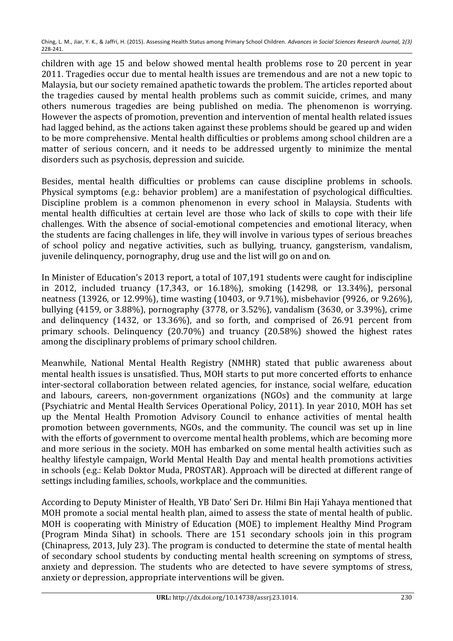children with age 15 and below showed mental health problems rose to 20 percent in year 2011. Tragedies occur due to mental health issues are tremendous and are not a new topic to Malaysia, but our society remained apathetic towards the problem. The articles reported about the tragedies caused by mental health problems such as commit suicide, crimes, and many others numerous tragedies are being published on media. The phenomenon is worrying. However the aspects of promotion, prevention and intervention of mental health related issues had lagged behind, as the actions taken against these problems should be geared up and widen to be more comprehensive. Mental health difficulties or problems among school children are a matter of serious concern, and it needs to be addressed urgently to minimize the mental disorders such as psychosis, depression and suicide.

Besides, mental health difficulties or problems can cause discipline problems in schools. Physical symptoms (e.g.: behavior problem) are a manifestation of psychological difficulties. Discipline problem is a common phenomenon in every school in Malaysia. Students with mental health difficulties at certain level are those who lack of skills to cope with their life challenges. With the absence of social-emotional competencies and emotional literacy, when the students are facing challenges in life, they will involve in various types of serious breaches of school policy and negative activities, such as bullying, truancy, gangsterism, vandalism, juvenile delinquency, pornography, drug use and the list will go on and on.

In Minister of Education's 2013 report, a total of 107,191 students were caught for indiscipline in 2012, included truancy (17,343, or 16.18%), smoking (14298, or 13.34%), personal neatness (13926, or 12.99%), time wasting (10403, or 9.71%), misbehavior (9926, or 9.26%), bullying (4159, or 3.88%), pornography (3778, or 3.52%), vandalism (3630, or 3.39%), crime and delinquency (1432, or 13.36%), and so forth, and comprised of 26.91 percent from primary schools. Delinquency  $(20.70\%)$  and truancy  $(20.58\%)$  showed the highest rates among the disciplinary problems of primary school children.

Meanwhile, National Mental Health Registry (NMHR) stated that public awareness about mental health issues is unsatisfied. Thus, MOH starts to put more concerted efforts to enhance inter-sectoral collaboration between related agencies, for instance, social welfare, education and labours, careers, non-government organizations (NGOs) and the community at large (Psychiatric and Mental Health Services Operational Policy, 2011). In year 2010, MOH has set up the Mental Health Promotion Advisory Council to enhance activities of mental health promotion between governments, NGOs, and the community. The council was set up in line with the efforts of government to overcome mental health problems, which are becoming more and more serious in the society. MOH has embarked on some mental health activities such as healthy lifestyle campaign, World Mental Health Day and mental health promotions activities in schools (e.g.: Kelab Doktor Muda, PROSTAR). Approach will be directed at different range of settings including families, schools, workplace and the communities.

According to Deputy Minister of Health, YB Dato' Seri Dr. Hilmi Bin Haji Yahaya mentioned that MOH promote a social mental health plan, aimed to assess the state of mental health of public. MOH is cooperating with Ministry of Education (MOE) to implement Healthy Mind Program (Program Minda Sihat) in schools. There are 151 secondary schools join in this program (Chinapress, 2013, July 23). The program is conducted to determine the state of mental health of secondary school students by conducting mental health screening on symptoms of stress, anxiety and depression. The students who are detected to have severe symptoms of stress, anxiety or depression, appropriate interventions will be given.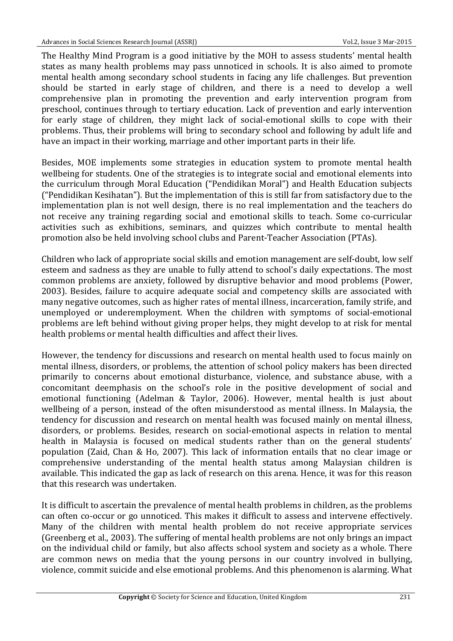The Healthy Mind Program is a good initiative by the MOH to assess students' mental health states as many health problems may pass unnoticed in schools. It is also aimed to promote mental health among secondary school students in facing any life challenges. But prevention should be started in early stage of children, and there is a need to develop a well comprehensive plan in promoting the prevention and early intervention program from preschool, continues through to tertiary education. Lack of prevention and early intervention for early stage of children, they might lack of social-emotional skills to cope with their problems. Thus, their problems will bring to secondary school and following by adult life and have an impact in their working, marriage and other important parts in their life.

Besides, MOE implements some strategies in education system to promote mental health wellbeing for students. One of the strategies is to integrate social and emotional elements into the curriculum through Moral Education ("Pendidikan Moral") and Health Education subjects ("Pendidikan Kesihatan"). But the implementation of this is still far from satisfactory due to the implementation plan is not well design, there is no real implementation and the teachers do not receive any training regarding social and emotional skills to teach. Some co-curricular activities such as exhibitions, seminars, and quizzes which contribute to mental health promotion also be held involving school clubs and Parent-Teacher Association (PTAs).

Children who lack of appropriate social skills and emotion management are self-doubt, low self esteem and sadness as they are unable to fully attend to school's daily expectations. The most common problems are anxiety, followed by disruptive behavior and mood problems (Power, 2003). Besides, failure to acquire adequate social and competency skills are associated with many negative outcomes, such as higher rates of mental illness, incarceration, family strife, and unemployed or underemployment. When the children with symptoms of social-emotional problems are left behind without giving proper helps, they might develop to at risk for mental health problems or mental health difficulties and affect their lives.

However, the tendency for discussions and research on mental health used to focus mainly on mental illness, disorders, or problems, the attention of school policy makers has been directed primarily to concerns about emotional disturbance, violence, and substance abuse, with a concomitant deemphasis on the school's role in the positive development of social and emotional functioning (Adelman & Taylor, 2006). However, mental health is just about wellbeing of a person, instead of the often misunderstood as mental illness. In Malaysia, the tendency for discussion and research on mental health was focused mainly on mental illness, disorders, or problems. Besides, research on social-emotional aspects in relation to mental health in Malaysia is focused on medical students rather than on the general students' population (Zaid, Chan & Ho, 2007). This lack of information entails that no clear image or comprehensive understanding of the mental health status among Malaysian children is available. This indicated the gap as lack of research on this arena. Hence, it was for this reason that this research was undertaken.

It is difficult to ascertain the prevalence of mental health problems in children, as the problems can often co-occur or go unnoticed. This makes it difficult to assess and intervene effectively. Many of the children with mental health problem do not receive appropriate services (Greenberg et al., 2003). The suffering of mental health problems are not only brings an impact on the individual child or family, but also affects school system and society as a whole. There are common news on media that the young persons in our country involved in bullying, violence, commit suicide and else emotional problems. And this phenomenon is alarming. What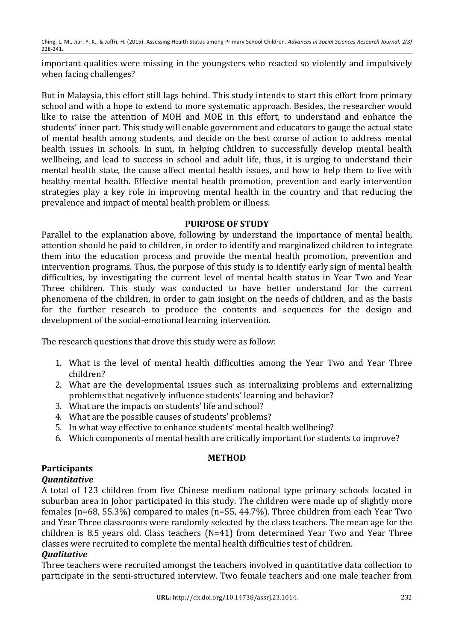important qualities were missing in the youngsters who reacted so violently and impulsively when facing challenges?

But in Malaysia, this effort still lags behind. This study intends to start this effort from primary school and with a hope to extend to more systematic approach. Besides, the researcher would like to raise the attention of MOH and MOE in this effort, to understand and enhance the students' inner part. This study will enable government and educators to gauge the actual state of mental health among students, and decide on the best course of action to address mental health issues in schools. In sum, in helping children to successfully develop mental health wellbeing, and lead to success in school and adult life, thus, it is urging to understand their mental health state, the cause affect mental health issues, and how to help them to live with healthy mental health. Effective mental health promotion, prevention and early intervention strategies play a key role in improving mental health in the country and that reducing the prevalence and impact of mental health problem or illness.

### **PURPOSE OF STUDY**

Parallel to the explanation above, following by understand the importance of mental health, attention should be paid to children, in order to identify and marginalized children to integrate them into the education process and provide the mental health promotion, prevention and intervention programs. Thus, the purpose of this study is to identify early sign of mental health difficulties, by investigating the current level of mental health status in Year Two and Year Three children. This study was conducted to have better understand for the current phenomena of the children, in order to gain insight on the needs of children, and as the basis for the further research to produce the contents and sequences for the design and development of the social-emotional learning intervention.

The research questions that drove this study were as follow:

- 1. What is the level of mental health difficulties among the Year Two and Year Three children?
- 2. What are the developmental issues such as internalizing problems and externalizing problems that negatively influence students' learning and behavior?
- 3. What are the impacts on students' life and school?
- 4. What are the possible causes of students' problems?
- 5. In what way effective to enhance students' mental health wellbeing?
- 6. Which components of mental health are critically important for students to improve?

### **METHOD**

## **Participants**

### *Quantitative*

A total of 123 children from five Chinese medium national type primary schools located in suburban area in Johor participated in this study. The children were made up of slightly more females (n=68, 55.3%) compared to males (n=55, 44.7%). Three children from each Year Two and Year Three classrooms were randomly selected by the class teachers. The mean age for the children is 8.5 years old. Class teachers  $(N=41)$  from determined Year Two and Year Three classes were recruited to complete the mental health difficulties test of children.

### *Qualitative*

Three teachers were recruited amongst the teachers involved in quantitative data collection to participate in the semi-structured interview. Two female teachers and one male teacher from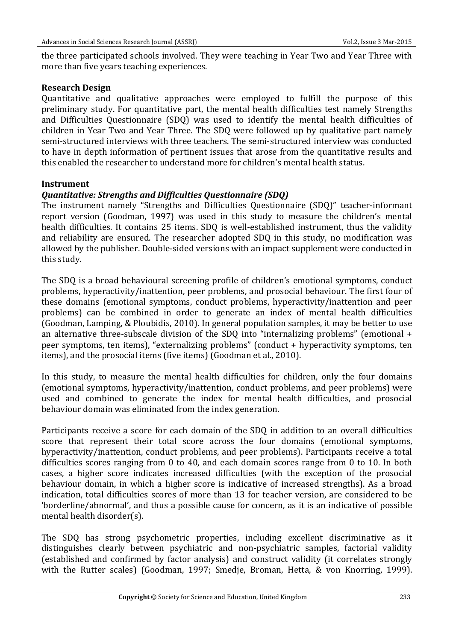the three participated schools involved. They were teaching in Year Two and Year Three with more than five years teaching experiences.

### **Research Design**

Quantitative and qualitative approaches were employed to fulfill the purpose of this preliminary study. For quantitative part, the mental health difficulties test namely Strengths and Difficulties Questionnaire (SDQ) was used to identify the mental health difficulties of children in Year Two and Year Three. The SDO were followed up by qualitative part namely semi-structured interviews with three teachers. The semi-structured interview was conducted to have in depth information of pertinent issues that arose from the quantitative results and this enabled the researcher to understand more for children's mental health status.

### **Instrument**

### *Quantitative:\*Strengths\*and\*Difficulties\*Questionnaire\*(SDQ)*

The instrument namely "Strengths and Difficulties Questionnaire (SDQ)" teacher-informant report version (Goodman, 1997) was used in this study to measure the children's mental health difficulties. It contains 25 items. SDQ is well-established instrument, thus the validity and reliability are ensured. The researcher adopted SDO in this study, no modification was allowed by the publisher. Double-sided versions with an impact supplement were conducted in this study.

The SDQ is a broad behavioural screening profile of children's emotional symptoms, conduct problems, hyperactivity/inattention, peer problems, and prosocial behaviour. The first four of these domains (emotional symptoms, conduct problems, hyperactivity/inattention and peer problems) can be combined in order to generate an index of mental health difficulties (Goodman, Lamping, & Ploubidis, 2010). In general population samples, it may be better to use an alternative three-subscale division of the SDQ into "internalizing problems" (emotional  $+$ peer symptoms, ten items), "externalizing problems" (conduct + hyperactivity symptoms, ten items), and the prosocial items (five items) (Goodman et al., 2010).

In this study, to measure the mental health difficulties for children, only the four domains (emotional symptoms, hyperactivity/inattention, conduct problems, and peer problems) were used and combined to generate the index for mental health difficulties, and prosocial behaviour domain was eliminated from the index generation.

Participants receive a score for each domain of the SDO in addition to an overall difficulties score that represent their total score across the four domains (emotional symptoms, hyperactivity/inattention, conduct problems, and peer problems). Participants receive a total difficulties scores ranging from 0 to 40, and each domain scores range from 0 to 10. In both cases, a higher score indicates increased difficulties (with the exception of the prosocial behaviour domain, in which a higher score is indicative of increased strengths). As a broad indication, total difficulties scores of more than 13 for teacher version, are considered to be 'borderline/abnormal', and thus a possible cause for concern, as it is an indicative of possible mental health disorder(s).

The SDQ has strong psychometric properties, including excellent discriminative as it distinguishes clearly between psychiatric and non-psychiatric samples, factorial validity (established and confirmed by factor analysis) and construct validity (it correlates strongly with the Rutter scales) (Goodman, 1997; Smedje, Broman, Hetta, & von Knorring, 1999).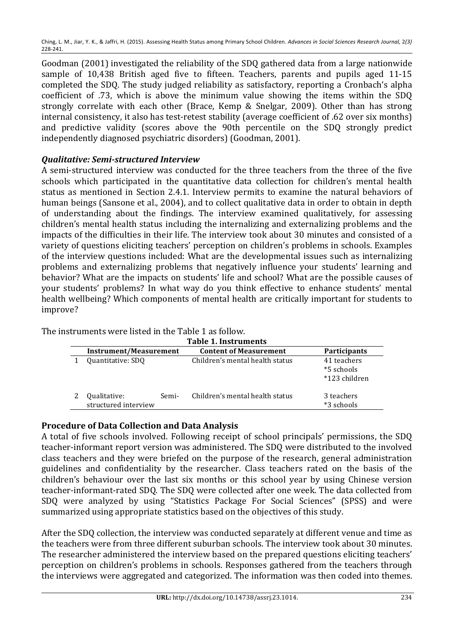Goodman (2001) investigated the reliability of the SDO gathered data from a large nationwide sample of 10,438 British aged five to fifteen. Teachers, parents and pupils aged 11-15 completed the SDQ. The study judged reliability as satisfactory, reporting a Cronbach's alpha coefficient of .73, which is above the minimum value showing the items within the SDQ strongly correlate with each other (Brace, Kemp & Snelgar, 2009). Other than has strong internal consistency, it also has test-retest stability (average coefficient of .62 over six months) and predictive validity (scores above the 90th percentile on the SDO strongly predict independently diagnosed psychiatric disorders) (Goodman, 2001).

### **Qualitative: Semi-structured Interview**

A semi-structured interview was conducted for the three teachers from the three of the five schools which participated in the quantitative data collection for children's mental health status as mentioned in Section 2.4.1. Interview permits to examine the natural behaviors of human beings (Sansone et al., 2004), and to collect qualitative data in order to obtain in depth of understanding about the findings. The interview examined qualitatively, for assessing children's mental health status including the internalizing and externalizing problems and the impacts of the difficulties in their life. The interview took about 30 minutes and consisted of a variety of questions eliciting teachers' perception on children's problems in schools. Examples of the interview questions included: What are the developmental issues such as internalizing problems and externalizing problems that negatively influence your students' learning and behavior? What are the impacts on students' life and school? What are the possible causes of your students' problems? In what way do you think effective to enhance students' mental health wellbeing? Which components of mental health are critically important for students to improve?

|                        | Table 1. Instruments                 |       |                                 |                                            |  |
|------------------------|--------------------------------------|-------|---------------------------------|--------------------------------------------|--|
| Instrument/Measurement |                                      |       | <b>Content of Measurement</b>   | Participants                               |  |
|                        | Quantitative: SDO                    |       | Children's mental health status | 41 teachers<br>*5 schools<br>*123 children |  |
|                        | Qualitative:<br>structured interview | Semi- | Children's mental health status | 3 teachers<br>*3 schools                   |  |

The instruments were listed in the Table 1 as follow.

### **Procedure of Data Collection and Data Analysis**

A total of five schools involved. Following receipt of school principals' permissions, the SDQ teacher-informant report version was administered. The SDO were distributed to the involved class teachers and they were briefed on the purpose of the research, general administration guidelines and confidentiality by the researcher. Class teachers rated on the basis of the children's behaviour over the last six months or this school vear by using Chinese version teacher-informant-rated SDO. The SDO were collected after one week. The data collected from SDQ were analyzed by using "Statistics Package For Social Sciences" (SPSS) and were summarized using appropriate statistics based on the objectives of this study.

After the SDQ collection, the interview was conducted separately at different venue and time as the teachers were from three different suburban schools. The interview took about 30 minutes. The researcher administered the interview based on the prepared questions eliciting teachers' perception on children's problems in schools. Responses gathered from the teachers through the interviews were aggregated and categorized. The information was then coded into themes.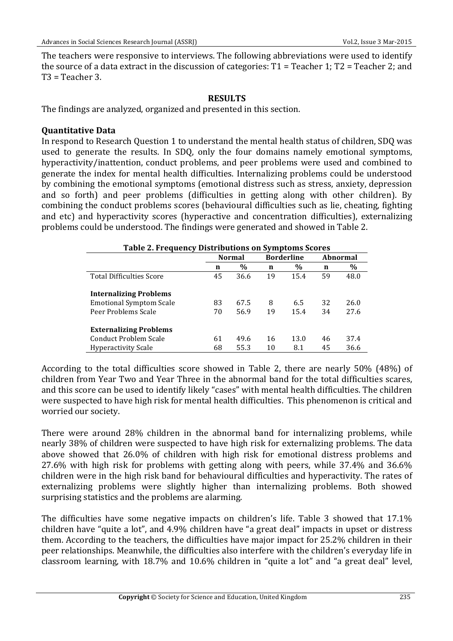The teachers were responsive to interviews. The following abbreviations were used to identify the source of a data extract in the discussion of categories:  $T1$  = Teacher 1; T2 = Teacher 2; and  $T3$  = Teacher 3.

### **RESULTS**

The findings are analyzed, organized and presented in this section.

### **Quantitative)Data)**

In respond to Research Question 1 to understand the mental health status of children, SDQ was used to generate the results. In SDQ, only the four domains namely emotional symptoms, hyperactivity/inattention, conduct problems, and peer problems were used and combined to generate the index for mental health difficulties. Internalizing problems could be understood by combining the emotional symptoms (emotional distress such as stress, anxiety, depression and so forth) and peer problems (difficulties in getting along with other children). By combining the conduct problems scores (behavioural difficulties such as lie, cheating, fighting and etc) and hyperactivity scores (hyperactive and concentration difficulties), externalizing problems could be understood. The findings were generated and showed in Table 2.

| <b>Table 2. Frequency Distributions on Symptoms Scores</b> |               |      |                   |      |          |      |
|------------------------------------------------------------|---------------|------|-------------------|------|----------|------|
|                                                            | <b>Normal</b> |      | <b>Borderline</b> |      | Abnormal |      |
|                                                            | n             | $\%$ | n                 | %    | n        | %    |
| <b>Total Difficulties Score</b>                            | 45            | 36.6 | 19                | 15.4 | 59       | 48.0 |
| <b>Internalizing Problems</b>                              |               |      |                   |      |          |      |
| <b>Emotional Symptom Scale</b>                             | 83            | 67.5 | 8                 | 6.5  | 32       | 26.0 |
| Peer Problems Scale                                        | 70            | 56.9 | 19                | 15.4 | 34       | 27.6 |
| <b>Externalizing Problems</b>                              |               |      |                   |      |          |      |
| Conduct Problem Scale                                      | 61            | 49.6 | 16                | 13.0 | 46       | 37.4 |
| <b>Hyperactivity Scale</b>                                 | 68            | 55.3 | 10                | 8.1  | 45       | 36.6 |

According to the total difficulties score showed in Table 2, there are nearly 50% (48%) of children from Year Two and Year Three in the abnormal band for the total difficulties scares, and this score can be used to identify likely "cases" with mental health difficulties. The children were suspected to have high risk for mental health difficulties. This phenomenon is critical and worried our society.

There were around 28% children in the abnormal band for internalizing problems, while nearly 38% of children were suspected to have high risk for externalizing problems. The data above showed that 26.0% of children with high risk for emotional distress problems and 27.6% with high risk for problems with getting along with peers, while  $37.4\%$  and  $36.6\%$ children were in the high risk band for behavioural difficulties and hyperactivity. The rates of externalizing problems were slightly higher than internalizing problems. Both showed surprising statistics and the problems are alarming.

The difficulties have some negative impacts on children's life. Table 3 showed that  $17.1\%$ children have "quite a lot", and 4.9% children have "a great deal" impacts in upset or distress them. According to the teachers, the difficulties have major impact for 25.2% children in their peer relationships. Meanwhile, the difficulties also interfere with the children's everyday life in classroom learning, with  $18.7\%$  and  $10.6\%$  children in "quite a lot" and "a great deal" level,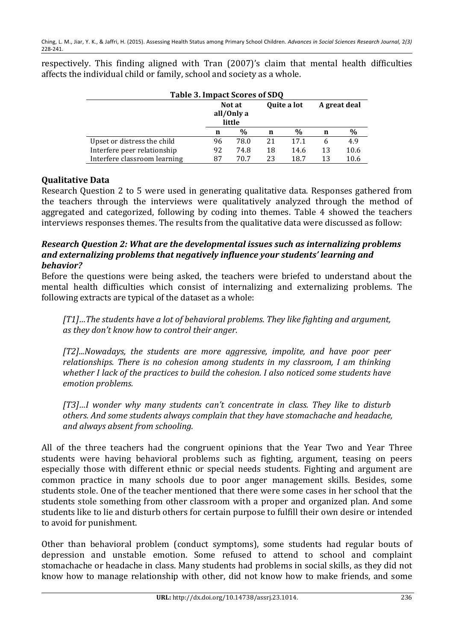| Table 3. Impact Scores of SDQ |                                |      |             |      |              |      |
|-------------------------------|--------------------------------|------|-------------|------|--------------|------|
|                               | Not at<br>all/0nly a<br>little |      | Quite a lot |      | A great deal |      |
|                               | n                              | $\%$ | n           | %    | n            | $\%$ |
| Upset or distress the child   | 96                             | 78.0 | 21          | 17.1 | <sub>6</sub> | 4.9  |
| Interfere peer relationship   | 92                             | 74.8 | 18          | 14.6 | 13           | 10.6 |
| Interfere classroom learning  | 87                             | 70.7 | 23          | 18.7 | 13           | 10.6 |

respectively. This finding aligned with Tran (2007)'s claim that mental health difficulties affects the individual child or family, school and society as a whole.

### **Qualitative)Data**

Research Question 2 to 5 were used in generating qualitative data. Responses gathered from the teachers through the interviews were qualitatively analyzed through the method of aggregated and categorized, following by coding into themes. Table 4 showed the teachers interviews responses themes. The results from the qualitative data were discussed as follow:

#### *Research\*Question\*2:\*What\*are\*the\*developmental\*issues\*such\*as\*internalizing\*problems\* and\*externalizing\*problems\*that\*negatively\*influence\*your\*students'\*learning\*and\* behavior?*

Before the questions were being asked, the teachers were briefed to understand about the mental health difficulties which consist of internalizing and externalizing problems. The following extracts are typical of the dataset as a whole:

*[T1]…The'students'have'a'lot'of'behavioral'problems.'They'like'fighting'and'argument,' as'they'don't'know'how'to'control'their'anger.'*

*[T2]...Nowadays,' the' students' are' more' aggressive,' impolite,' and' have' poor' peer'* relationships. There is no cohesion among students in my classroom, I am thinking whether I lack of the practices to build the cohesion. I also noticed some students have *emotion'problems.'*

*[T3]…I' wonder' why' many' students' can't' concentrate' in' class.' They' like' to' disturb' others.'And'some'students'always'complain'that'they'have'stomachache'and'headache,' and'always'absent'from'schooling.'*

All of the three teachers had the congruent opinions that the Year Two and Year Three students were having behavioral problems such as fighting, argument, teasing on peers especially those with different ethnic or special needs students. Fighting and argument are common practice in many schools due to poor anger management skills. Besides, some students stole. One of the teacher mentioned that there were some cases in her school that the students stole something from other classroom with a proper and organized plan. And some students like to lie and disturb others for certain purpose to fulfill their own desire or intended to avoid for punishment.

Other than behavioral problem (conduct symptoms), some students had regular bouts of depression and unstable emotion. Some refused to attend to school and complaint stomachache or headache in class. Many students had problems in social skills, as they did not know how to manage relationship with other, did not know how to make friends, and some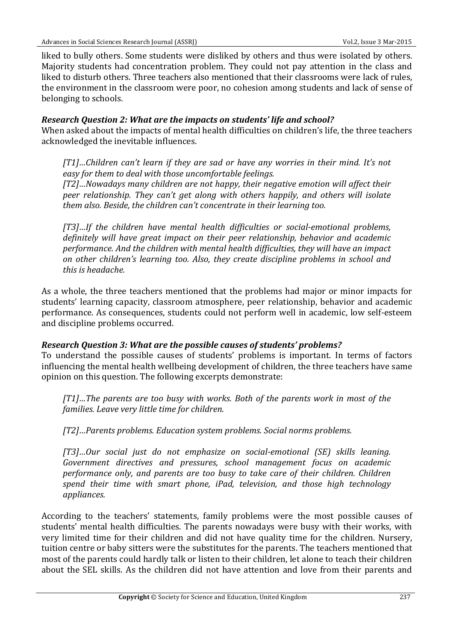liked to bully others. Some students were disliked by others and thus were isolated by others. Majority students had concentration problem. They could not pay attention in the class and liked to disturb others. Three teachers also mentioned that their classrooms were lack of rules, the environment in the classroom were poor, no cohesion among students and lack of sense of belonging to schools.

### *Research Question 2: What are the impacts on students' life and school?*

When asked about the impacts of mental health difficulties on children's life, the three teachers acknowledged the inevitable influences.

*[T1]…Children' can't'learn'if' they' are' sad' or' have' any'worries'in' their'mind.' It's' not' easy'for'them'to'deal'with'those'uncomfortable'feelings.'*

*[T2]…Nowadays'many'children'are'not'happy,'their'negative'emotion'will'affect'their' peer' relationship.' They' can't' get' along' with' others' happily,' and' others' will' isolate' them'also.'Beside,'the'children'can't'concentrate'in'their'learning'too.*

*[T3]…If the children have mental health difficulties or social-emotional problems, definitely' will' have' great' impact' on' their' peer' relationship,' behavior' and' academic' performance.'And'the'children'with'mental'health'difficulties,'they'will'have'an'impact' on' other' children's' learning' too.' Also,' they' create' discipline' problems' in' school' and' this'is'headache.*

As a whole, the three teachers mentioned that the problems had major or minor impacts for students' learning capacity, classroom atmosphere, peer relationship, behavior and academic performance. As consequences, students could not perform well in academic, low self-esteem and discipline problems occurred.

### *Research Question 3: What are the possible causes of students' problems?*

To understand the possible causes of students' problems is important. In terms of factors influencing the mental health wellbeing development of children, the three teachers have same opinion on this question. The following excerpts demonstrate:

*[T1]…The' parents' are' too' busy'with'works.'Both' of' the' parents'work'in'most' of' the' families.'Leave'very'little'time'for'children.*

*[T2]…Parents'problems.'Education'system'problems.'Social'norms'problems.*

*[T3]…Our' social' just' do' not' emphasize' on' socialbemotional' (SE)' skills' leaning.' Government' directives' and' pressures,' school' management' focus' on' academic' performance' only,' and' parents' are' too' busy' to' take' care' of' their' children.' Children' spend' their' time' with' smart' phone,' iPad,' television,' and' those' high' technology' appliances.*

According to the teachers' statements, family problems were the most possible causes of students' mental health difficulties. The parents nowadays were busy with their works, with very limited time for their children and did not have quality time for the children. Nursery, tuition centre or baby sitters were the substitutes for the parents. The teachers mentioned that most of the parents could hardly talk or listen to their children, let alone to teach their children about the SEL skills. As the children did not have attention and love from their parents and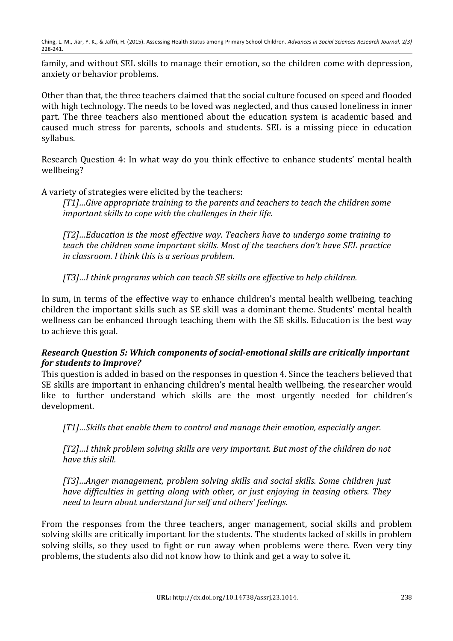family, and without SEL skills to manage their emotion, so the children come with depression, anxiety or behavior problems.

Other than that, the three teachers claimed that the social culture focused on speed and flooded with high technology. The needs to be loved was neglected, and thus caused loneliness in inner part. The three teachers also mentioned about the education system is academic based and caused much stress for parents, schools and students. SEL is a missing piece in education syllabus.

Research Question 4: In what way do you think effective to enhance students' mental health wellbeing?

A variety of strategies were elicited by the teachers:

*[T1]…Give'appropriate'training'to'the'parents'and'teachers'to'teach'the'children'some'* important skills to cope with the challenges in their life.

*[T2]…Education'is'the'most'effective'way.'Teachers'have'to'undergo'some'training'to'* teach the children some important skills. Most of the teachers don't have SEL practice in classroom. I think this is a serious problem.

*[T3]…I'think'programs'which'can'teach'SE'skills'are'effective'to'help'children.*

In sum, in terms of the effective way to enhance children's mental health wellbeing, teaching children the important skills such as SE skill was a dominant theme. Students' mental health wellness can be enhanced through teaching them with the SE skills. Education is the best way to achieve this goal.

### *Research Question 5: Which components of social-emotional skills are critically important for students to improve?*

This question is added in based on the responses in question 4. Since the teachers believed that SE skills are important in enhancing children's mental health wellbeing, the researcher would like to further understand which skills are the most urgently needed for children's development.

*[T1]…Skills'that'enable'them'to'control'and'manage'their'emotion,'especially'anger.*

*[T2]…I'think'problem'solving'skills'are'very'important.'But'most'of'the'children'do'not' have this skill.* 

*[T3]…Anger'management,' problem' solving' skills' and' social' skills.'Some'children'just'* have difficulties in getting along with other, or just enjoying in teasing others. They *need'to'learn'about'understand'for'self'and'others''feelings.*

From the responses from the three teachers, anger management, social skills and problem solving skills are critically important for the students. The students lacked of skills in problem solving skills, so they used to fight or run away when problems were there. Even very tiny problems, the students also did not know how to think and get a way to solve it.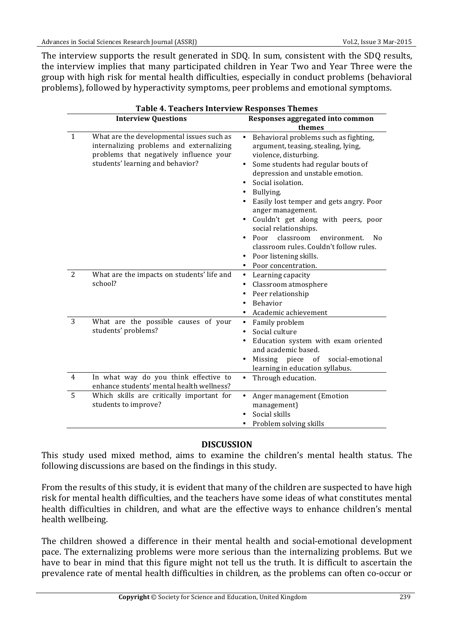The interview supports the result generated in SDQ. In sum, consistent with the SDQ results, the interview implies that many participated children in Year Two and Year Three were the group with high risk for mental health difficulties, especially in conduct problems (behavioral problems), followed by hyperactivity symptoms, peer problems and emotional symptoms.

|                | <b>Table 4. Teachers Interview Responses Themes</b>                                                                                                                  |                                                                                                                                                                                                                                                                                                                                                                                                                                                                                                       |  |  |
|----------------|----------------------------------------------------------------------------------------------------------------------------------------------------------------------|-------------------------------------------------------------------------------------------------------------------------------------------------------------------------------------------------------------------------------------------------------------------------------------------------------------------------------------------------------------------------------------------------------------------------------------------------------------------------------------------------------|--|--|
|                | <b>Interview Questions</b>                                                                                                                                           | Responses aggregated into common<br>themes                                                                                                                                                                                                                                                                                                                                                                                                                                                            |  |  |
| $\mathbf{1}$   | What are the developmental issues such as<br>internalizing problems and externalizing<br>problems that negatively influence your<br>students' learning and behavior? | Behavioral problems such as fighting,<br>argument, teasing, stealing, lying,<br>violence, disturbing.<br>Some students had regular bouts of<br>depression and unstable emotion.<br>Social isolation.<br>Bullying.<br>Easily lost temper and gets angry. Poor<br>anger management.<br>Couldn't get along with peers, poor<br>social relationships.<br>classroom<br>Poor<br>environment.<br>No<br>$\bullet$<br>classroom rules. Couldn't follow rules.<br>Poor listening skills.<br>Poor concentration. |  |  |
| $\overline{2}$ | What are the impacts on students' life and<br>school?                                                                                                                | Learning capacity<br>٠<br>Classroom atmosphere<br>Peer relationship<br>Behavior<br>Academic achievement                                                                                                                                                                                                                                                                                                                                                                                               |  |  |
| 3              | What are the possible causes of your<br>students' problems?                                                                                                          | Family problem<br>$\bullet$<br>Social culture<br>Education system with exam oriented<br>and academic based.<br>of<br>social-emotional<br>Missing piece<br>learning in education syllabus.                                                                                                                                                                                                                                                                                                             |  |  |
| $\overline{4}$ | In what way do you think effective to<br>enhance students' mental health wellness?                                                                                   | Through education.<br>$\bullet$                                                                                                                                                                                                                                                                                                                                                                                                                                                                       |  |  |
| 5              | Which skills are critically important for<br>students to improve?                                                                                                    | Anger management (Emotion<br>$\bullet$<br>management)<br>Social skills<br>Problem solving skills                                                                                                                                                                                                                                                                                                                                                                                                      |  |  |

#### **DISCUSSION**

This study used mixed method, aims to examine the children's mental health status. The following discussions are based on the findings in this study.

From the results of this study, it is evident that many of the children are suspected to have high risk for mental health difficulties, and the teachers have some ideas of what constitutes mental health difficulties in children, and what are the effective ways to enhance children's mental health wellbeing.

The children showed a difference in their mental health and social-emotional development pace. The externalizing problems were more serious than the internalizing problems. But we have to bear in mind that this figure might not tell us the truth. It is difficult to ascertain the prevalence rate of mental health difficulties in children, as the problems can often co-occur or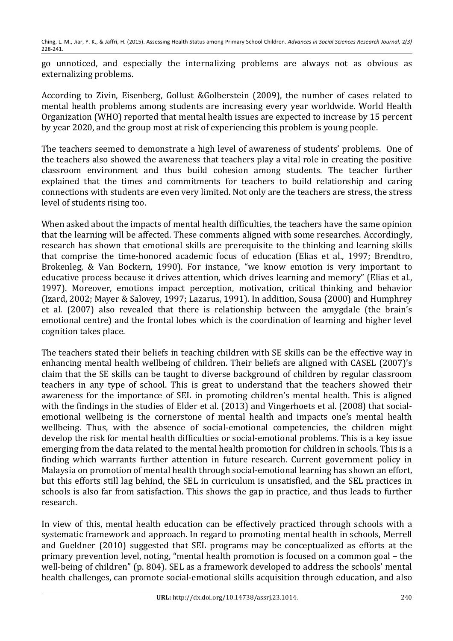go unnoticed, and especially the internalizing problems are always not as obvious as externalizing problems.

According to Zivin, Eisenberg, Gollust &Golberstein (2009), the number of cases related to mental health problems among students are increasing every vear worldwide. World Health Organization (WHO) reported that mental health issues are expected to increase by 15 percent by year 2020, and the group most at risk of experiencing this problem is young people.

The teachers seemed to demonstrate a high level of awareness of students' problems. One of the teachers also showed the awareness that teachers play a vital role in creating the positive classroom environment and thus build cohesion among students. The teacher further explained that the times and commitments for teachers to build relationship and caring connections with students are even very limited. Not only are the teachers are stress, the stress level of students rising too.

When asked about the impacts of mental health difficulties, the teachers have the same opinion that the learning will be affected. These comments aligned with some researches. Accordingly, research has shown that emotional skills are prerequisite to the thinking and learning skills that comprise the time-honored academic focus of education (Elias et al., 1997; Brendtro, Brokenleg, & Van Bockern, 1990). For instance, "we know emotion is very important to educative process because it drives attention, which drives learning and memory" (Elias et al., 1997). Moreover, emotions impact perception, motivation, critical thinking and behavior (Izard, 2002; Mayer & Salovey, 1997; Lazarus, 1991). In addition, Sousa (2000) and Humphrey et al. (2007) also revealed that there is relationship between the amygdale (the brain's emotional centre) and the frontal lobes which is the coordination of learning and higher level cognition takes place.

The teachers stated their beliefs in teaching children with SE skills can be the effective way in enhancing mental health wellbeing of children. Their beliefs are aligned with CASEL (2007)'s claim that the SE skills can be taught to diverse background of children by regular classroom teachers in any type of school. This is great to understand that the teachers showed their awareness for the importance of SEL in promoting children's mental health. This is aligned with the findings in the studies of Elder et al. (2013) and Vingerhoets et al. (2008) that socialemotional wellbeing is the cornerstone of mental health and impacts one's mental health wellbeing. Thus, with the absence of social-emotional competencies, the children might develop the risk for mental health difficulties or social-emotional problems. This is a key issue emerging from the data related to the mental health promotion for children in schools. This is a finding which warrants further attention in future research. Current government policy in Malaysia on promotion of mental health through social-emotional learning has shown an effort, but this efforts still lag behind, the SEL in curriculum is unsatisfied, and the SEL practices in schools is also far from satisfaction. This shows the gap in practice, and thus leads to further research.!

In view of this, mental health education can be effectively practiced through schools with a systematic framework and approach. In regard to promoting mental health in schools, Merrell and Gueldner (2010) suggested that SEL programs may be conceptualized as efforts at the primary prevention level, noting, "mental health promotion is focused on a common goal – the well-being of children" (p. 804). SEL as a framework developed to address the schools' mental health challenges, can promote social-emotional skills acquisition through education, and also